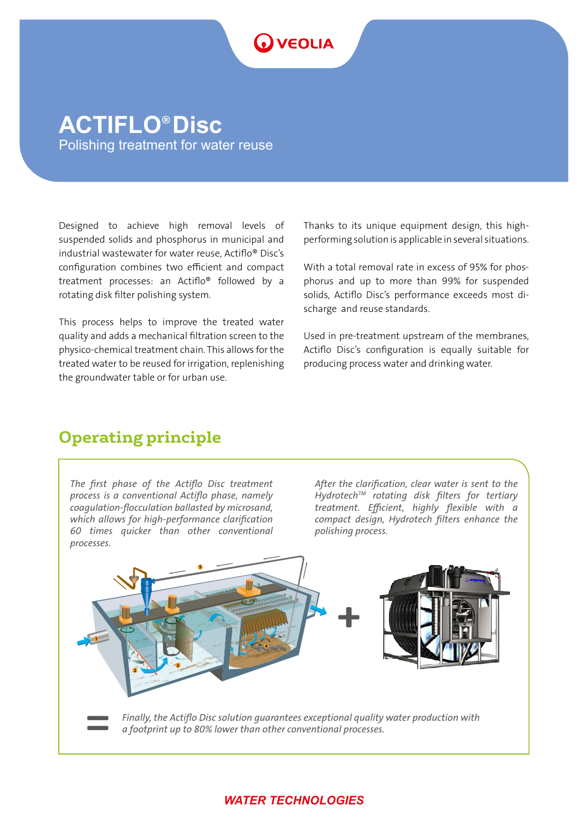# **O** VEOLIA

## **ACTIFLO**® **Disc** Polishing treatment for water reuse

Designed to achieve high removal levels of suspended solids and phosphorus in municipal and industrial wastewater for water reuse, Actiflo® Disc's configuration combines two efficient and compact treatment processes: an Actiflo® followed by a rotating disk filter polishing system.

This process helps to improve the treated water quality and adds a mechanical filtration screen to the physico-chemical treatment chain. This allows for the treated water to be reused for irrigation, replenishing the groundwater table or for urban use.

Thanks to its unique equipment design, this highperforming solution is applicable in several situations.

With a total removal rate in excess of 95% for phosphorus and up to more than 99% for suspended solids, Actiflo Disc's performance exceeds most discharge and reuse standards.

Used in pre-treatment upstream of the membranes, Actiflo Disc's configuration is equally suitable for producing process water and drinking water.

## **Operating principle**

*The first phase of the Actiflo Disc treatment process is a conventional Actiflo phase, namely coagulation-flocculation ballasted by microsand, which allows for high-performance clarification 60 times quicker than other conventional processes.*

*After the clarification, clear water is sent to the HydrotechTM rotating disk filters for tertiary treatment. Efficient, highly flexible with a compact design, Hydrotech filters enhance the polishing process.*



## *WATER TECHNOLOGIES*